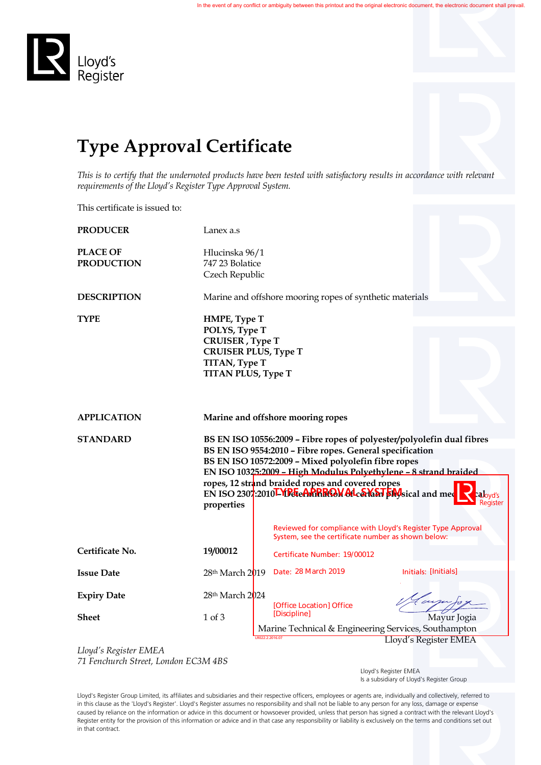

## **Type Approval Certificate**

*This is to certify that the undernoted products have been tested with satisfactory results in accordance with relevant requirements of the Lloyd's Register Type Approval System.*

This certificate is issued to:

| <b>PRODUCER</b>                      | Lanex a.s                     |                                                                                                                                                                                                                                                                                                                                                                            |                                                             |  |  |  |
|--------------------------------------|-------------------------------|----------------------------------------------------------------------------------------------------------------------------------------------------------------------------------------------------------------------------------------------------------------------------------------------------------------------------------------------------------------------------|-------------------------------------------------------------|--|--|--|
| <b>PLACE OF</b><br><b>PRODUCTION</b> | 747 23 Bolatice               | Hlucinska 96/1<br>Czech Republic                                                                                                                                                                                                                                                                                                                                           |                                                             |  |  |  |
| <b>DESCRIPTION</b>                   |                               | Marine and offshore mooring ropes of synthetic materials                                                                                                                                                                                                                                                                                                                   |                                                             |  |  |  |
| <b>TYPE</b>                          |                               | HMPE, Type T<br>POLYS, Type T<br><b>CRUISER</b> , Type T<br><b>CRUISER PLUS, Type T</b><br>TITAN, Type T<br><b>TITAN PLUS, Type T</b>                                                                                                                                                                                                                                      |                                                             |  |  |  |
| <b>APPLICATION</b>                   |                               | Marine and offshore mooring ropes                                                                                                                                                                                                                                                                                                                                          |                                                             |  |  |  |
| <b>STANDARD</b>                      | properties                    | BS EN ISO 10556:2009 - Fibre ropes of polyester/polyolefin dual fibres<br>BS EN ISO 9554:2010 - Fibre ropes. General specification<br>BS EN ISO 10572:2009 - Mixed polyolefin fibre ropes<br>EN ISO 10325:2009 - High Modulus Polyethylene - 8 strand braided<br>ropes, 12 strand braided ropes and covered ropes<br>EN ISO 2307:2010LYD GeARRROW ALCEVALT EMSical and med |                                                             |  |  |  |
|                                      |                               | System, see the certificate number as shown below:                                                                                                                                                                                                                                                                                                                         | Reviewed for compliance with Lloyd's Register Type Approval |  |  |  |
| Certificate No.                      | 19/00012                      | Certificate Number: 19/00012                                                                                                                                                                                                                                                                                                                                               |                                                             |  |  |  |
| <b>Issue Date</b>                    | 28 <sup>th</sup> March 2019   | Date: 28 March 2019                                                                                                                                                                                                                                                                                                                                                        | Initials: [Initials]                                        |  |  |  |
| <b>Expiry Date</b><br><b>Sheet</b>   | 28th March 2024<br>$1$ of $3$ | [Office Location] Office<br>[Discipline]                                                                                                                                                                                                                                                                                                                                   | Mayur Jogia                                                 |  |  |  |
|                                      |                               | Marine Technical & Engineering Services, Southampton                                                                                                                                                                                                                                                                                                                       |                                                             |  |  |  |
| Lloyd's Register EMEA                |                               | R022.2.2016.07                                                                                                                                                                                                                                                                                                                                                             | Lloyd's Register EMEA                                       |  |  |  |

*71 Fenchurch Street, London EC3M 4BS*

 Lloyd's Register EMEA Is a subsidiary of Lloyd's Register Group

Lloyd's Register Group Limited, its affiliates and subsidiaries and their respective officers, employees or agents are, individually and collectively, referred to in this clause as the 'Lloyd's Register'. Lloyd's Register assumes no responsibility and shall not be liable to any person for any loss, damage or expense caused by reliance on the information or advice in this document or howsoever provided, unless that person has signed a contract with the relevant Lloyd's Register entity for the provision of this information or advice and in that case any responsibility or liability is exclusively on the terms and conditions set out in that contract.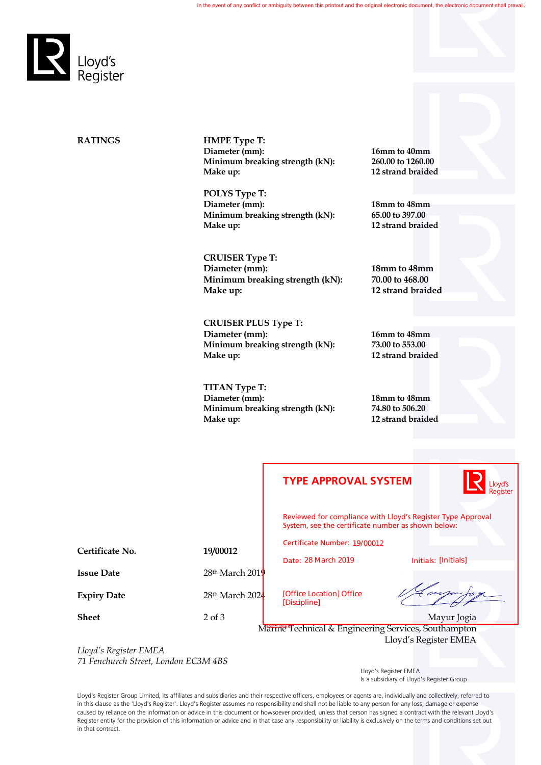

**RATINGS HMPE Type T:** Diameter (mm): 16mm to 40mm<br>Minimum breaking strength (kN): 260.00 to 1260.00 **Minimum breaking strength (kN): Make up: 12 strand braided**

> **POLYS Type T: Diameter (mm):** 18mm to 48mm<br>Minimum breaking strength (kN): 65.00 to 397.00 **Minimum breaking strength (kN):**<br>Make up:

**CRUISER Type T: Diameter (mm):** 18mm to 48mm<br>Minimum breaking strength (kN): 70.00 to 468.00 **Minimum breaking strength (kN): Make up: 12 strand braided**

**CRUISER PLUS Type T: Diameter (mm):** 16mm to 48mm<br>Minimum breaking strength (kN): 73.00 to 553.00 **Minimum breaking strength (kN): Make up: 12 strand braided**

**TITAN Type T: Diameter (mm): 18mm to 48mm Minimum breaking strength (kN): Make up: 12 strand braided**

**Make up: 12 strand braided**

|                     | <b>TYPE APPROVAL SYSTEM</b>                                                                                       | <mark>Ll</mark> oyd's<br>Register |  |
|---------------------|-------------------------------------------------------------------------------------------------------------------|-----------------------------------|--|
|                     | Reviewed for compliance with Lloyd's Register Type Approval<br>System, see the certificate number as shown below: |                                   |  |
|                     | Certificate Number: 19/00012                                                                                      |                                   |  |
|                     | Date: 28 March 2019                                                                                               | Initials: [Initials]              |  |
| $28th$ March $2019$ |                                                                                                                   |                                   |  |
| 28th March 2024     | [Office Location] Office<br>[Discipline]                                                                          | arju to x                         |  |
| $2$ of $3$          |                                                                                                                   | Mayur Jogia                       |  |
|                     | Marine Technical & Engineering Services, Southampton<br>Lloyd's Register EMEA                                     |                                   |  |
|                     |                                                                                                                   |                                   |  |
|                     | 19/00012                                                                                                          |                                   |  |

*Lloyd's Register EMEA 71 Fenchurch Street, London EC3M 4BS*

 Lloyd's Register EMEA Is a subsidiary of Lloyd's Register Group

Lloyd's Register Group Limited, its affiliates and subsidiaries and their respective officers, employees or agents are, individually and collectively, referred to in this clause as the 'Lloyd's Register'. Lloyd's Register assumes no responsibility and shall not be liable to any person for any loss, damage or expense caused by reliance on the information or advice in this document or howsoever provided, unless that person has signed a contract with the relevant Lloyd's Register entity for the provision of this information or advice and in that case any responsibility or liability is exclusively on the terms and conditions set out in that contract.